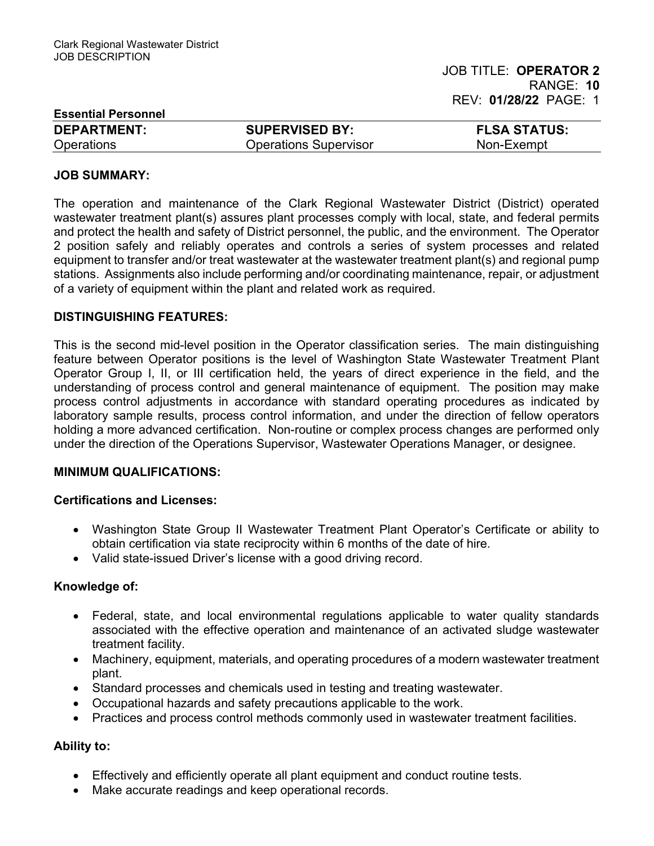| <b>Essential Personnel</b> |                              |                     |
|----------------------------|------------------------------|---------------------|
| <b>DEPARTMENT:</b>         | <b>SUPERVISED BY:</b>        | <b>FLSA STATUS:</b> |
| Operations                 | <b>Operations Supervisor</b> | Non-Exempt          |

#### JOB SUMMARY:

The operation and maintenance of the Clark Regional Wastewater District (District) operated wastewater treatment plant(s) assures plant processes comply with local, state, and federal permits and protect the health and safety of District personnel, the public, and the environment. The Operator 2 position safely and reliably operates and controls a series of system processes and related equipment to transfer and/or treat wastewater at the wastewater treatment plant(s) and regional pump stations. Assignments also include performing and/or coordinating maintenance, repair, or adjustment of a variety of equipment within the plant and related work as required.

### DISTINGUISHING FEATURES:

This is the second mid-level position in the Operator classification series. The main distinguishing feature between Operator positions is the level of Washington State Wastewater Treatment Plant Operator Group I, II, or III certification held, the years of direct experience in the field, and the understanding of process control and general maintenance of equipment. The position may make process control adjustments in accordance with standard operating procedures as indicated by laboratory sample results, process control information, and under the direction of fellow operators holding a more advanced certification. Non-routine or complex process changes are performed only under the direction of the Operations Supervisor, Wastewater Operations Manager, or designee.

## MINIMUM QUALIFICATIONS:

#### Certifications and Licenses:

- Washington State Group II Wastewater Treatment Plant Operator's Certificate or ability to obtain certification via state reciprocity within 6 months of the date of hire.
- Valid state-issued Driver's license with a good driving record.

#### Knowledge of:

- Federal, state, and local environmental regulations applicable to water quality standards associated with the effective operation and maintenance of an activated sludge wastewater treatment facility.
- Machinery, equipment, materials, and operating procedures of a modern wastewater treatment plant.
- Standard processes and chemicals used in testing and treating wastewater.
- Occupational hazards and safety precautions applicable to the work.
- Practices and process control methods commonly used in wastewater treatment facilities.

## Ability to:

- Effectively and efficiently operate all plant equipment and conduct routine tests.
- Make accurate readings and keep operational records.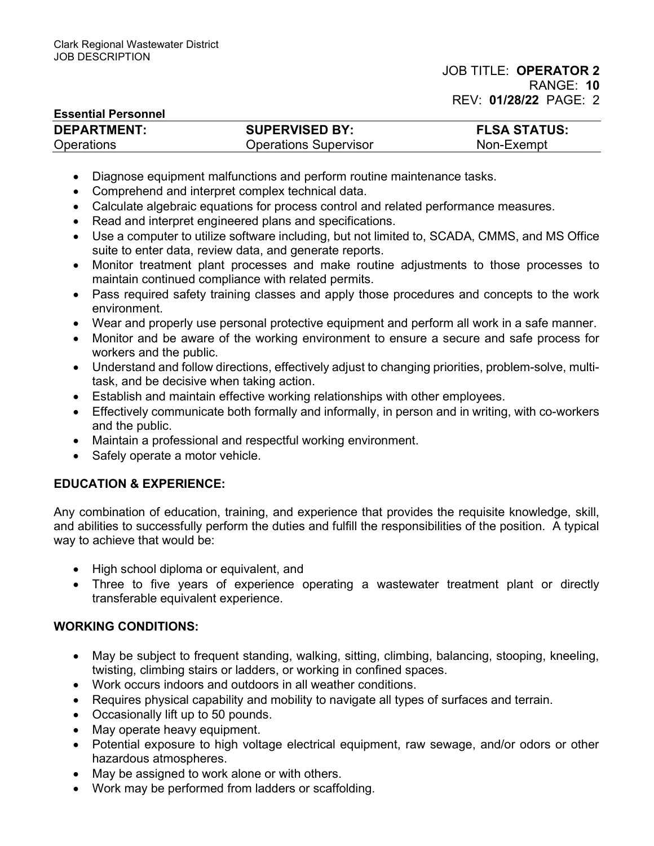## Essential Personnel

| <b>DEPARTMENT:</b> | <b>SUPERVISED BY:</b>        | <b>FLSA STATUS:</b> |
|--------------------|------------------------------|---------------------|
| <b>Operations</b>  | <b>Operations Supervisor</b> | Non-Exempt          |

- Diagnose equipment malfunctions and perform routine maintenance tasks.
- Comprehend and interpret complex technical data.
- Calculate algebraic equations for process control and related performance measures.
- Read and interpret engineered plans and specifications.
- Use a computer to utilize software including, but not limited to, SCADA, CMMS, and MS Office suite to enter data, review data, and generate reports.
- Monitor treatment plant processes and make routine adjustments to those processes to maintain continued compliance with related permits.
- Pass required safety training classes and apply those procedures and concepts to the work environment.
- Wear and properly use personal protective equipment and perform all work in a safe manner.
- Monitor and be aware of the working environment to ensure a secure and safe process for workers and the public.
- Understand and follow directions, effectively adjust to changing priorities, problem-solve, multitask, and be decisive when taking action.
- Establish and maintain effective working relationships with other employees.
- Effectively communicate both formally and informally, in person and in writing, with co-workers and the public.
- Maintain a professional and respectful working environment.
- Safely operate a motor vehicle.

# EDUCATION & EXPERIENCE:

Any combination of education, training, and experience that provides the requisite knowledge, skill, and abilities to successfully perform the duties and fulfill the responsibilities of the position. A typical way to achieve that would be:

- High school diploma or equivalent, and
- Three to five years of experience operating a wastewater treatment plant or directly transferable equivalent experience.

# WORKING CONDITIONS:

- May be subject to frequent standing, walking, sitting, climbing, balancing, stooping, kneeling, twisting, climbing stairs or ladders, or working in confined spaces.
- Work occurs indoors and outdoors in all weather conditions.
- Requires physical capability and mobility to navigate all types of surfaces and terrain.
- Occasionally lift up to 50 pounds.
- May operate heavy equipment.
- Potential exposure to high voltage electrical equipment, raw sewage, and/or odors or other hazardous atmospheres.
- May be assigned to work alone or with others.
- Work may be performed from ladders or scaffolding.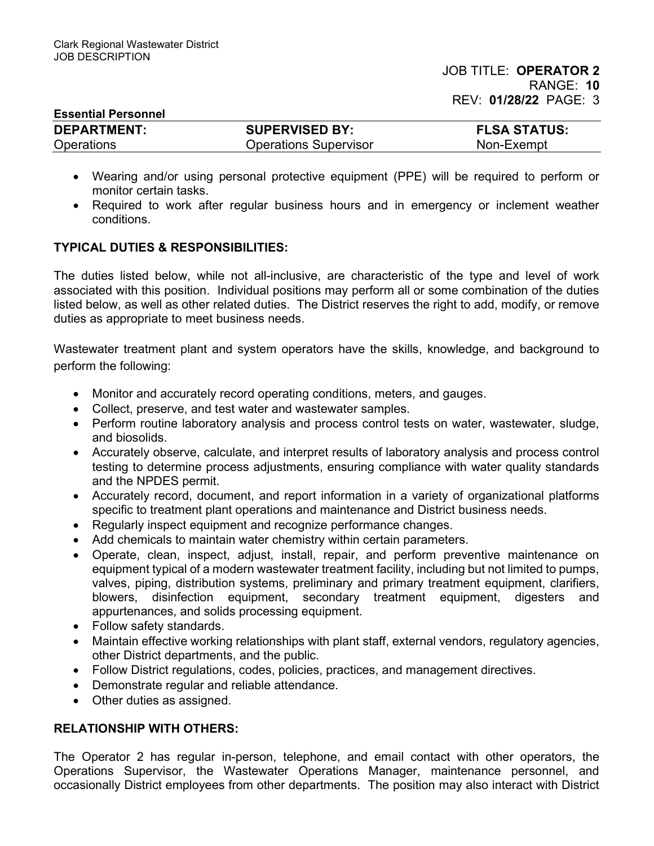| <b>Essential Personnel</b> |                              |                     |  |
|----------------------------|------------------------------|---------------------|--|
| <b>DEPARTMENT:</b>         | <b>SUPERVISED BY:</b>        | <b>FLSA STATUS:</b> |  |
| <b>Operations</b>          | <b>Operations Supervisor</b> | Non-Exempt          |  |

- Wearing and/or using personal protective equipment (PPE) will be required to perform or monitor certain tasks.
- Required to work after regular business hours and in emergency or inclement weather conditions.

## TYPICAL DUTIES & RESPONSIBILITIES:

The duties listed below, while not all-inclusive, are characteristic of the type and level of work associated with this position. Individual positions may perform all or some combination of the duties listed below, as well as other related duties. The District reserves the right to add, modify, or remove duties as appropriate to meet business needs.

Wastewater treatment plant and system operators have the skills, knowledge, and background to perform the following:

- Monitor and accurately record operating conditions, meters, and gauges.
- Collect, preserve, and test water and wastewater samples.
- Perform routine laboratory analysis and process control tests on water, wastewater, sludge, and biosolids.
- Accurately observe, calculate, and interpret results of laboratory analysis and process control testing to determine process adjustments, ensuring compliance with water quality standards and the NPDES permit.
- Accurately record, document, and report information in a variety of organizational platforms specific to treatment plant operations and maintenance and District business needs.
- Regularly inspect equipment and recognize performance changes.
- Add chemicals to maintain water chemistry within certain parameters.
- Operate, clean, inspect, adjust, install, repair, and perform preventive maintenance on equipment typical of a modern wastewater treatment facility, including but not limited to pumps, valves, piping, distribution systems, preliminary and primary treatment equipment, clarifiers, blowers, disinfection equipment, secondary treatment equipment, digesters and appurtenances, and solids processing equipment.
- Follow safety standards.
- Maintain effective working relationships with plant staff, external vendors, regulatory agencies, other District departments, and the public.
- Follow District regulations, codes, policies, practices, and management directives.
- Demonstrate regular and reliable attendance.
- Other duties as assigned.

# RELATIONSHIP WITH OTHERS:

The Operator 2 has regular in-person, telephone, and email contact with other operators, the Operations Supervisor, the Wastewater Operations Manager, maintenance personnel, and occasionally District employees from other departments. The position may also interact with District